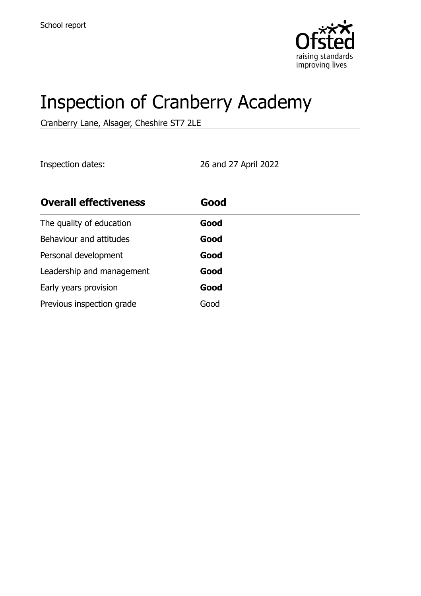

# Inspection of Cranberry Academy

Cranberry Lane, Alsager, Cheshire ST7 2LE

Inspection dates: 26 and 27 April 2022

| <b>Overall effectiveness</b> | Good |
|------------------------------|------|
| The quality of education     | Good |
| Behaviour and attitudes      | Good |
| Personal development         | Good |
| Leadership and management    | Good |
| Early years provision        | Good |
| Previous inspection grade    | Good |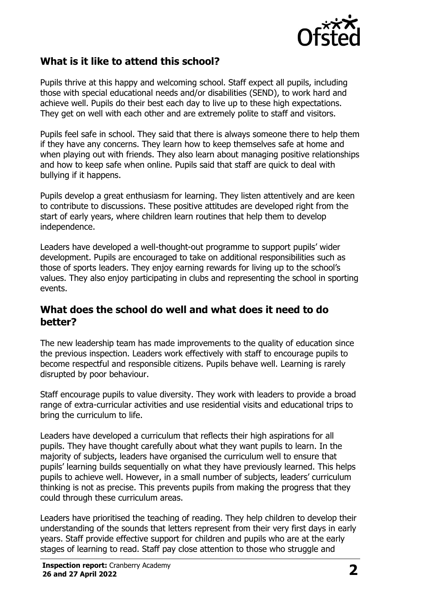

## **What is it like to attend this school?**

Pupils thrive at this happy and welcoming school. Staff expect all pupils, including those with special educational needs and/or disabilities (SEND), to work hard and achieve well. Pupils do their best each day to live up to these high expectations. They get on well with each other and are extremely polite to staff and visitors.

Pupils feel safe in school. They said that there is always someone there to help them if they have any concerns. They learn how to keep themselves safe at home and when playing out with friends. They also learn about managing positive relationships and how to keep safe when online. Pupils said that staff are quick to deal with bullying if it happens.

Pupils develop a great enthusiasm for learning. They listen attentively and are keen to contribute to discussions. These positive attitudes are developed right from the start of early years, where children learn routines that help them to develop independence.

Leaders have developed a well-thought-out programme to support pupils' wider development. Pupils are encouraged to take on additional responsibilities such as those of sports leaders. They enjoy earning rewards for living up to the school's values. They also enjoy participating in clubs and representing the school in sporting events.

#### **What does the school do well and what does it need to do better?**

The new leadership team has made improvements to the quality of education since the previous inspection. Leaders work effectively with staff to encourage pupils to become respectful and responsible citizens. Pupils behave well. Learning is rarely disrupted by poor behaviour.

Staff encourage pupils to value diversity. They work with leaders to provide a broad range of extra-curricular activities and use residential visits and educational trips to bring the curriculum to life.

Leaders have developed a curriculum that reflects their high aspirations for all pupils. They have thought carefully about what they want pupils to learn. In the majority of subjects, leaders have organised the curriculum well to ensure that pupils' learning builds sequentially on what they have previously learned. This helps pupils to achieve well. However, in a small number of subjects, leaders' curriculum thinking is not as precise. This prevents pupils from making the progress that they could through these curriculum areas.

Leaders have prioritised the teaching of reading. They help children to develop their understanding of the sounds that letters represent from their very first days in early years. Staff provide effective support for children and pupils who are at the early stages of learning to read. Staff pay close attention to those who struggle and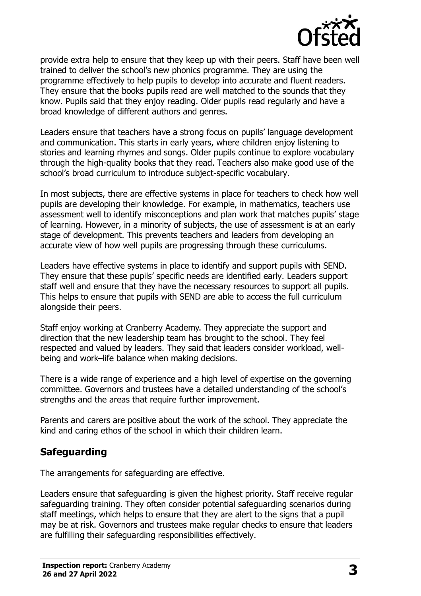

provide extra help to ensure that they keep up with their peers. Staff have been well trained to deliver the school's new phonics programme. They are using the programme effectively to help pupils to develop into accurate and fluent readers. They ensure that the books pupils read are well matched to the sounds that they know. Pupils said that they enjoy reading. Older pupils read regularly and have a broad knowledge of different authors and genres.

Leaders ensure that teachers have a strong focus on pupils' language development and communication. This starts in early years, where children enjoy listening to stories and learning rhymes and songs. Older pupils continue to explore vocabulary through the high-quality books that they read. Teachers also make good use of the school's broad curriculum to introduce subject-specific vocabulary.

In most subjects, there are effective systems in place for teachers to check how well pupils are developing their knowledge. For example, in mathematics, teachers use assessment well to identify misconceptions and plan work that matches pupils' stage of learning. However, in a minority of subjects, the use of assessment is at an early stage of development. This prevents teachers and leaders from developing an accurate view of how well pupils are progressing through these curriculums.

Leaders have effective systems in place to identify and support pupils with SEND. They ensure that these pupils' specific needs are identified early. Leaders support staff well and ensure that they have the necessary resources to support all pupils. This helps to ensure that pupils with SEND are able to access the full curriculum alongside their peers.

Staff enjoy working at Cranberry Academy. They appreciate the support and direction that the new leadership team has brought to the school. They feel respected and valued by leaders. They said that leaders consider workload, wellbeing and work–life balance when making decisions.

There is a wide range of experience and a high level of expertise on the governing committee. Governors and trustees have a detailed understanding of the school's strengths and the areas that require further improvement.

Parents and carers are positive about the work of the school. They appreciate the kind and caring ethos of the school in which their children learn.

## **Safeguarding**

The arrangements for safeguarding are effective.

Leaders ensure that safeguarding is given the highest priority. Staff receive regular safeguarding training. They often consider potential safeguarding scenarios during staff meetings, which helps to ensure that they are alert to the signs that a pupil may be at risk. Governors and trustees make regular checks to ensure that leaders are fulfilling their safeguarding responsibilities effectively.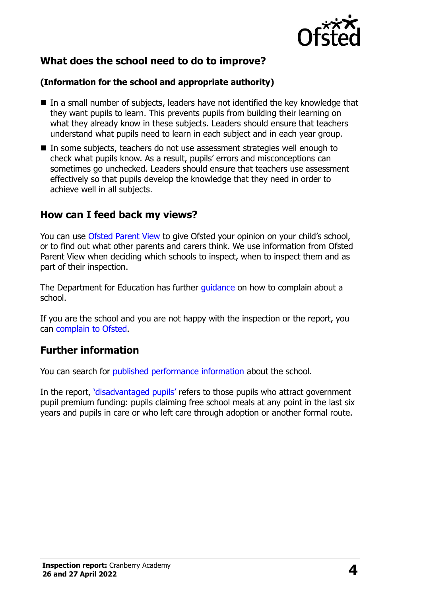

## **What does the school need to do to improve?**

#### **(Information for the school and appropriate authority)**

- $\blacksquare$  In a small number of subjects, leaders have not identified the key knowledge that they want pupils to learn. This prevents pupils from building their learning on what they already know in these subjects. Leaders should ensure that teachers understand what pupils need to learn in each subject and in each year group.
- In some subjects, teachers do not use assessment strategies well enough to check what pupils know. As a result, pupils' errors and misconceptions can sometimes go unchecked. Leaders should ensure that teachers use assessment effectively so that pupils develop the knowledge that they need in order to achieve well in all subjects.

### **How can I feed back my views?**

You can use [Ofsted Parent View](http://parentview.ofsted.gov.uk/) to give Ofsted your opinion on your child's school, or to find out what other parents and carers think. We use information from Ofsted Parent View when deciding which schools to inspect, when to inspect them and as part of their inspection.

The Department for Education has further quidance on how to complain about a school.

If you are the school and you are not happy with the inspection or the report, you can [complain to Ofsted.](http://www.gov.uk/complain-ofsted-report)

## **Further information**

You can search for [published performance information](http://www.compare-school-performance.service.gov.uk/) about the school.

In the report, '[disadvantaged pupils](http://www.gov.uk/guidance/pupil-premium-information-for-schools-and-alternative-provision-settings)' refers to those pupils who attract government pupil premium funding: pupils claiming free school meals at any point in the last six years and pupils in care or who left care through adoption or another formal route.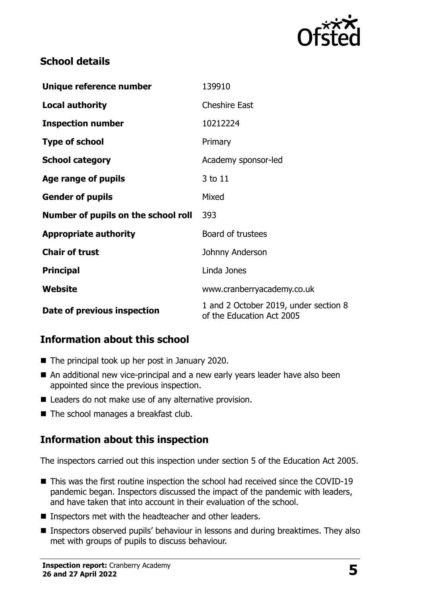

## **School details**

| Unique reference number             | 139910                                                             |  |
|-------------------------------------|--------------------------------------------------------------------|--|
| <b>Local authority</b>              | <b>Cheshire East</b>                                               |  |
| <b>Inspection number</b>            | 10212224                                                           |  |
| <b>Type of school</b>               | Primary                                                            |  |
| <b>School category</b>              | Academy sponsor-led                                                |  |
| Age range of pupils                 | 3 to 11                                                            |  |
| <b>Gender of pupils</b>             | Mixed                                                              |  |
| Number of pupils on the school roll | 393                                                                |  |
| <b>Appropriate authority</b>        | Board of trustees                                                  |  |
| <b>Chair of trust</b>               | Johnny Anderson                                                    |  |
| <b>Principal</b>                    | Linda Jones                                                        |  |
| Website                             | www.cranberryacademy.co.uk                                         |  |
| Date of previous inspection         | 1 and 2 October 2019, under section 8<br>of the Education Act 2005 |  |

## **Information about this school**

- The principal took up her post in January 2020.
- An additional new vice-principal and a new early years leader have also been appointed since the previous inspection.
- Leaders do not make use of any alternative provision.
- The school manages a breakfast club.

## **Information about this inspection**

The inspectors carried out this inspection under section 5 of the Education Act 2005.

- This was the first routine inspection the school had received since the COVID-19 pandemic began. Inspectors discussed the impact of the pandemic with leaders, and have taken that into account in their evaluation of the school.
- Inspectors met with the headteacher and other leaders.
- Inspectors observed pupils' behaviour in lessons and during breaktimes. They also met with groups of pupils to discuss behaviour.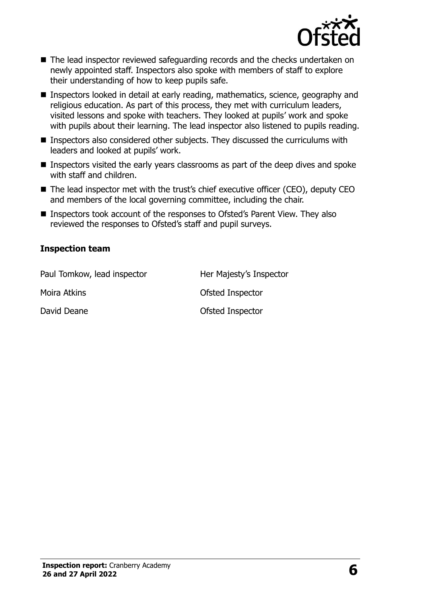

- The lead inspector reviewed safeguarding records and the checks undertaken on newly appointed staff. Inspectors also spoke with members of staff to explore their understanding of how to keep pupils safe.
- Inspectors looked in detail at early reading, mathematics, science, geography and religious education. As part of this process, they met with curriculum leaders, visited lessons and spoke with teachers. They looked at pupils' work and spoke with pupils about their learning. The lead inspector also listened to pupils reading.
- Inspectors also considered other subjects. They discussed the curriculums with leaders and looked at pupils' work.
- Inspectors visited the early years classrooms as part of the deep dives and spoke with staff and children.
- The lead inspector met with the trust's chief executive officer (CEO), deputy CEO and members of the local governing committee, including the chair.
- Inspectors took account of the responses to Ofsted's Parent View. They also reviewed the responses to Ofsted's staff and pupil surveys.

#### **Inspection team**

| Paul Tomkow, lead inspector | Her Majesty's Inspector |
|-----------------------------|-------------------------|
| Moira Atkins                | Ofsted Inspector        |
| David Deane                 | Ofsted Inspector        |